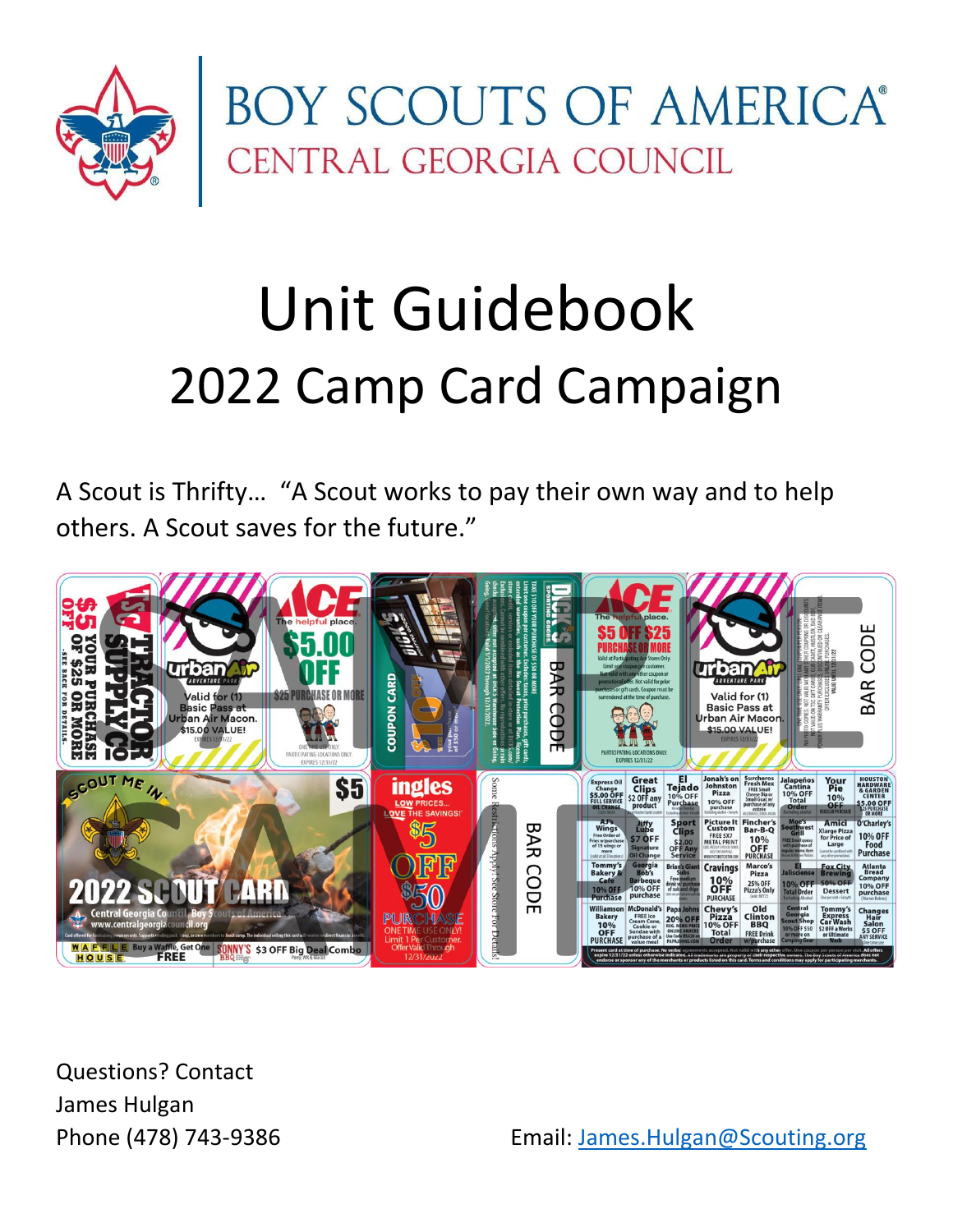

# Unit Guidebook 2022 Camp Card Campaign

A Scout is Thrifty… "A Scout works to pay their own way and to help others. A Scout saves for the future."



Questions? Contact James Hulgan

Phone (478) 743-9386 Email: [James.Hulgan@Scouting.org](mailto:James.Hulgan@Scouting.org)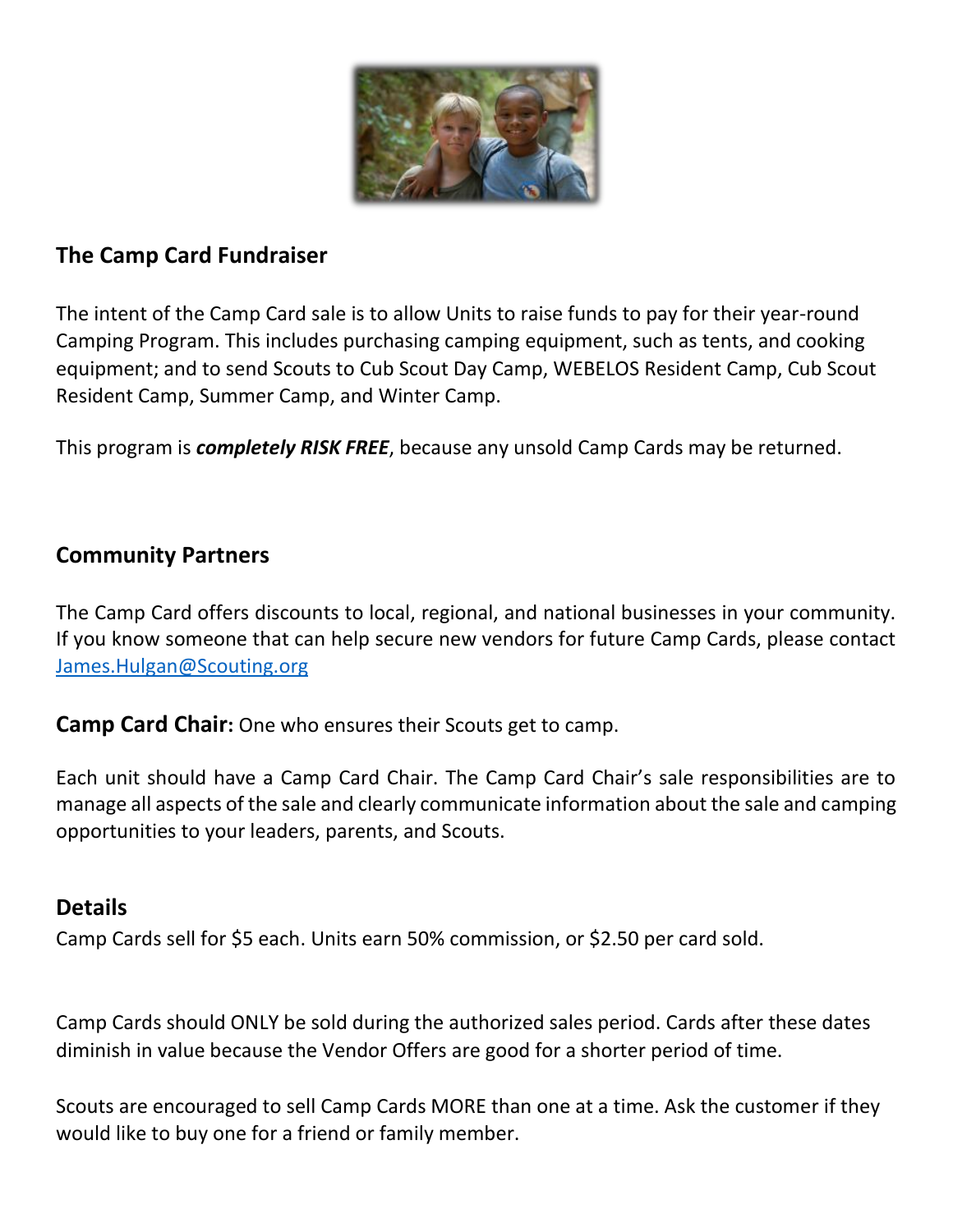

#### **The Camp Card Fundraiser**

The intent of the Camp Card sale is to allow Units to raise funds to pay for their year-round Camping Program. This includes purchasing camping equipment, such as tents, and cooking equipment; and to send Scouts to Cub Scout Day Camp, WEBELOS Resident Camp, Cub Scout Resident Camp, Summer Camp, and Winter Camp.

This program is *completely RISK FREE*, because any unsold Camp Cards may be returned.

#### **Community Partners**

The Camp Card offers discounts to local, regional, and national businesses in your community. If you know someone that can help secure new vendors for future Camp Cards, please contact [James.Hulgan@Scouting.org](mailto:James.Hulgan@Scouting.org)

**Camp Card Chair:** One who ensures their Scouts get to camp.

Each unit should have a Camp Card Chair. The Camp Card Chair's sale responsibilities are to manage all aspects of the sale and clearly communicate information about the sale and camping opportunities to your leaders, parents, and Scouts.

#### **Details**

Camp Cards sell for \$5 each. Units earn 50% commission, or \$2.50 per card sold.

Camp Cards should ONLY be sold during the authorized sales period. Cards after these dates diminish in value because the Vendor Offers are good for a shorter period of time.

Scouts are encouraged to sell Camp Cards MORE than one at a time. Ask the customer if they would like to buy one for a friend or family member.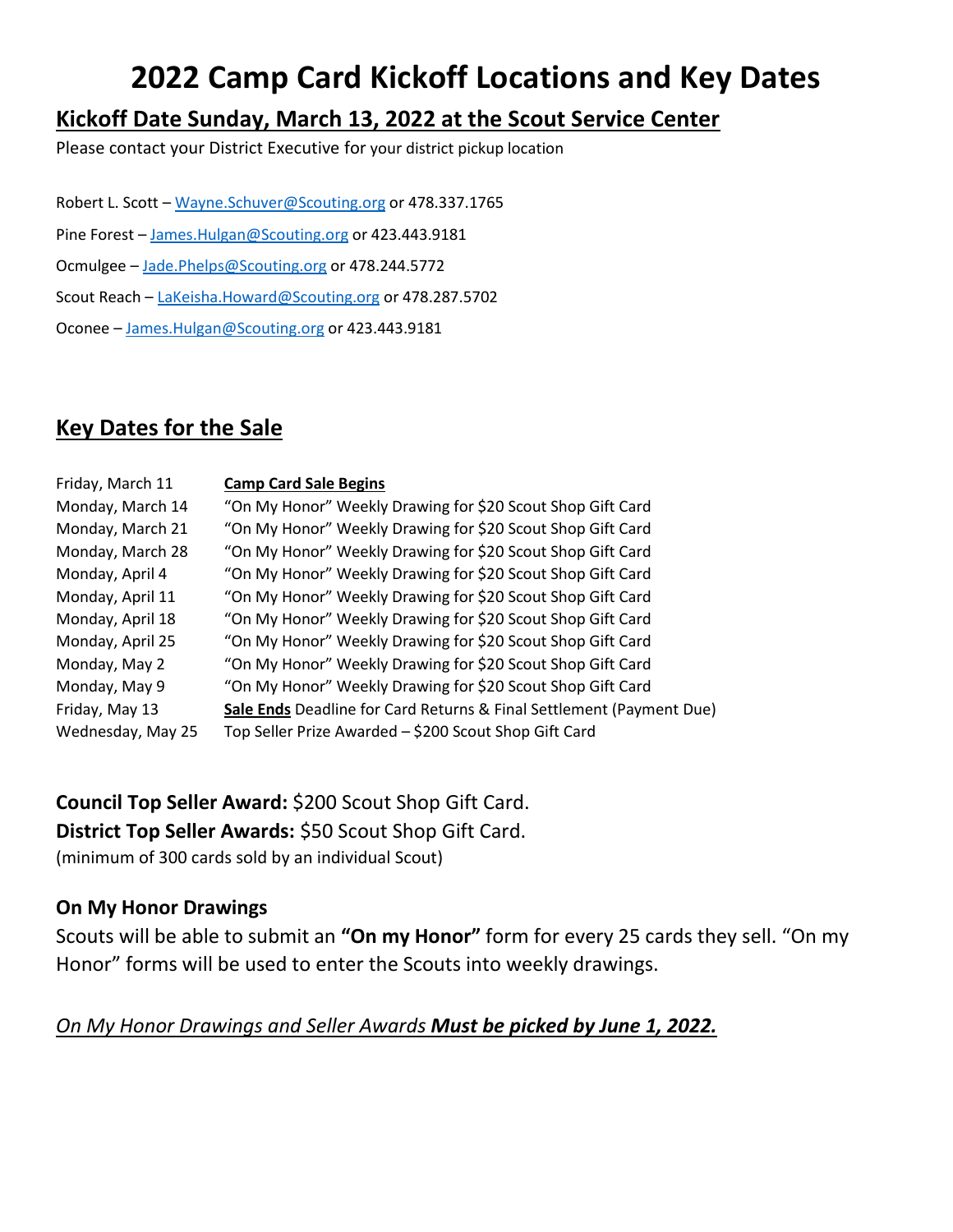# **2022 Camp Card Kickoff Locations and Key Dates**

#### **Kickoff Date Sunday, March 13, 2022 at the Scout Service Center**

Please contact your District Executive for your district pickup location

- Robert L. Scott [Wayne.Schuver@Scouting.org](mailto:Wayne.Schuver@Scouting.org) or 478.337.1765
- Pine Forest [James.Hulgan@Scouting.org](mailto:James.Hulgan@Scouting.org) or 423.443.9181
- Ocmulgee [Jade.Phelps@Scouting.org](mailto:Jade.Phelps@Scouting.org) or 478.244.5772
- Scout Reach [LaKeisha.Howard@Scouting.org](mailto:LaKeisha.Howard@Scouting.org) or 478.287.5702
- Oconee [James.Hulgan@Scouting.org](mailto:James.Hulgan@Scouting.org) or 423.443.9181

#### **Key Dates for the Sale**

| Friday, March 11  | <b>Camp Card Sale Begins</b>                                         |
|-------------------|----------------------------------------------------------------------|
| Monday, March 14  | "On My Honor" Weekly Drawing for \$20 Scout Shop Gift Card           |
| Monday, March 21  | "On My Honor" Weekly Drawing for \$20 Scout Shop Gift Card           |
| Monday, March 28  | "On My Honor" Weekly Drawing for \$20 Scout Shop Gift Card           |
| Monday, April 4   | "On My Honor" Weekly Drawing for \$20 Scout Shop Gift Card           |
| Monday, April 11  | "On My Honor" Weekly Drawing for \$20 Scout Shop Gift Card           |
| Monday, April 18  | "On My Honor" Weekly Drawing for \$20 Scout Shop Gift Card           |
| Monday, April 25  | "On My Honor" Weekly Drawing for \$20 Scout Shop Gift Card           |
| Monday, May 2     | "On My Honor" Weekly Drawing for \$20 Scout Shop Gift Card           |
| Monday, May 9     | "On My Honor" Weekly Drawing for \$20 Scout Shop Gift Card           |
| Friday, May 13    | Sale Ends Deadline for Card Returns & Final Settlement (Payment Due) |
| Wednesday, May 25 | Top Seller Prize Awarded - \$200 Scout Shop Gift Card                |

**Council Top Seller Award:** \$200 Scout Shop Gift Card. **District Top Seller Awards:** \$50 Scout Shop Gift Card.

(minimum of 300 cards sold by an individual Scout)

#### **On My Honor Drawings**

Scouts will be able to submit an **"On my Honor"** form for every 25 cards they sell. "On my Honor" forms will be used to enter the Scouts into weekly drawings.

#### *On My Honor Drawings and Seller Awards Must be picked by June 1, 2022.*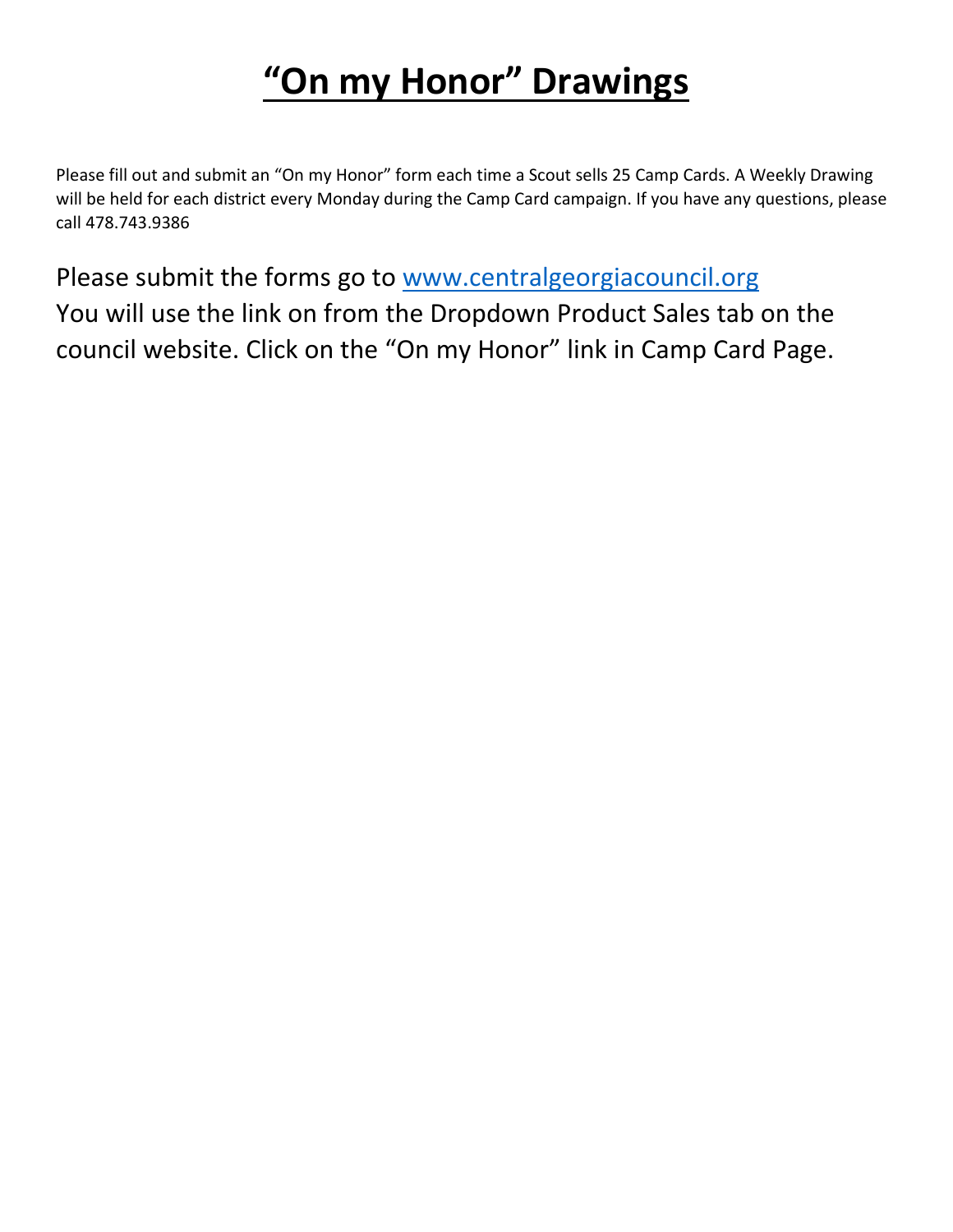# **"On my Honor" Drawings**

Please fill out and submit an "On my Honor" form each time a Scout sells 25 Camp Cards. A Weekly Drawing will be held for each district every Monday during the Camp Card campaign. If you have any questions, please call 478.743.9386

Please submit the forms go to [www.centralgeorgiacouncil.org](http://www.centralgeorgiacouncil.org/) You will use the link on from the Dropdown Product Sales tab on the council website. Click on the "On my Honor" link in Camp Card Page.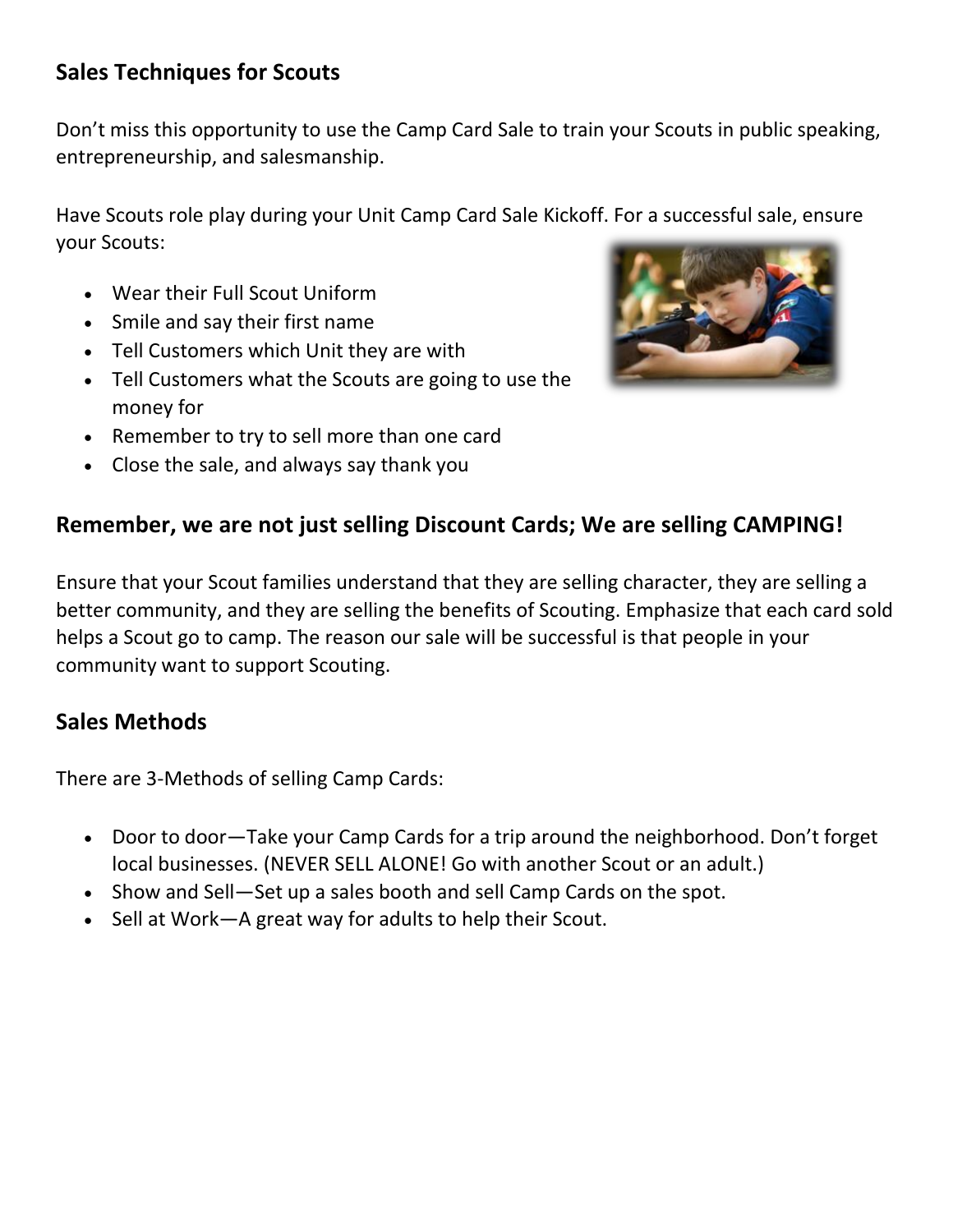#### **Sales Techniques for Scouts**

Don't miss this opportunity to use the Camp Card Sale to train your Scouts in public speaking, entrepreneurship, and salesmanship.

Have Scouts role play during your Unit Camp Card Sale Kickoff. For a successful sale, ensure your Scouts:

- Wear their Full Scout Uniform
- Smile and say their first name
- Tell Customers which Unit they are with
- Tell Customers what the Scouts are going to use the money for
- Remember to try to sell more than one card
- Close the sale, and always say thank you



#### **Remember, we are not just selling Discount Cards; We are selling CAMPING!**

Ensure that your Scout families understand that they are selling character, they are selling a better community, and they are selling the benefits of Scouting. Emphasize that each card sold helps a Scout go to camp. The reason our sale will be successful is that people in your community want to support Scouting.

#### **Sales Methods**

There are 3-Methods of selling Camp Cards:

- Door to door—Take your Camp Cards for a trip around the neighborhood. Don't forget local businesses. (NEVER SELL ALONE! Go with another Scout or an adult.)
- Show and Sell—Set up a sales booth and sell Camp Cards on the spot.
- Sell at Work—A great way for adults to help their Scout.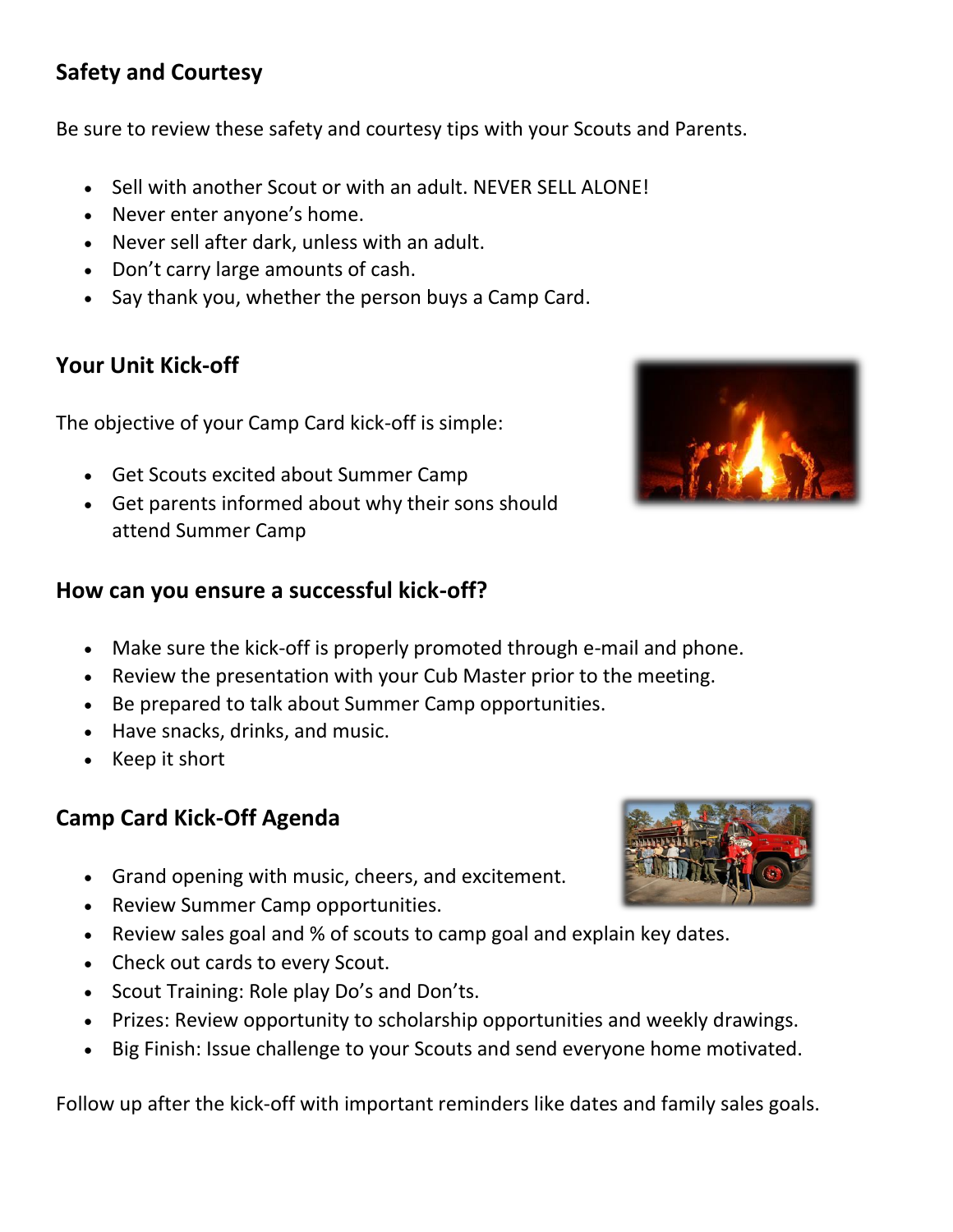#### **Safety and Courtesy**

Be sure to review these safety and courtesy tips with your Scouts and Parents.

- Sell with another Scout or with an adult. NEVER SELL ALONE!
- Never enter anyone's home.
- Never sell after dark, unless with an adult.
- Don't carry large amounts of cash.
- Say thank you, whether the person buys a Camp Card.

#### **Your Unit Kick-off**

The objective of your Camp Card kick-off is simple:

- Get Scouts excited about Summer Camp
- Get parents informed about why their sons should attend Summer Camp

#### **How can you ensure a successful kick-off?**

- Make sure the kick-off is properly promoted through e-mail and phone.
- Review the presentation with your Cub Master prior to the meeting.
- Be prepared to talk about Summer Camp opportunities.
- Have snacks, drinks, and music.
- Keep it short

#### **Camp Card Kick-Off Agenda**

- Grand opening with music, cheers, and excitement.
- Review Summer Camp opportunities.
- Review sales goal and % of scouts to camp goal and explain key dates.
- Check out cards to every Scout.
- Scout Training: Role play Do's and Don'ts.
- Prizes: Review opportunity to scholarship opportunities and weekly drawings.
- Big Finish: Issue challenge to your Scouts and send everyone home motivated.

Follow up after the kick-off with important reminders like dates and family sales goals.



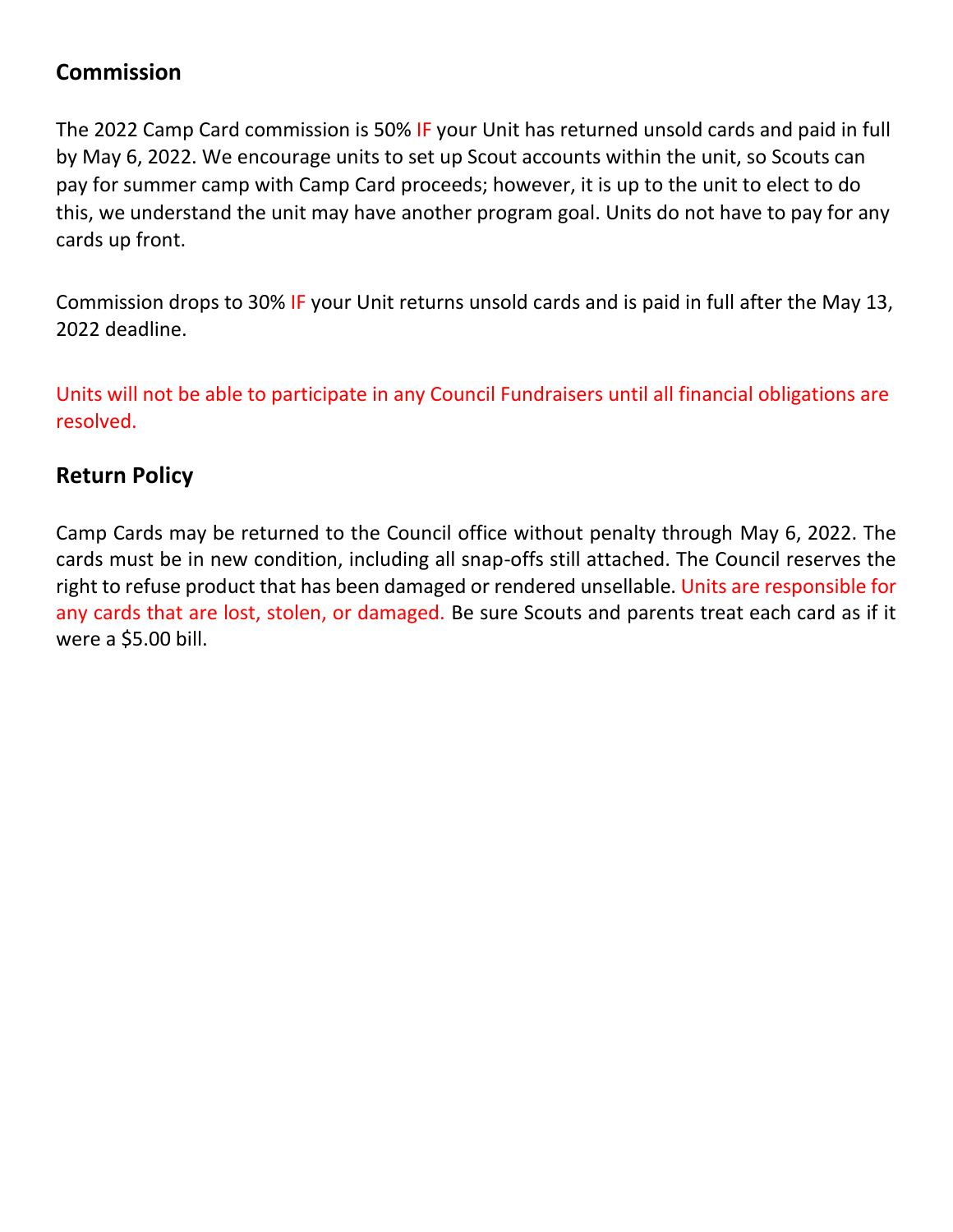#### **Commission**

The 2022 Camp Card commission is 50% IF your Unit has returned unsold cards and paid in full by May 6, 2022. We encourage units to set up Scout accounts within the unit, so Scouts can pay for summer camp with Camp Card proceeds; however, it is up to the unit to elect to do this, we understand the unit may have another program goal. Units do not have to pay for any cards up front.

Commission drops to 30% IF your Unit returns unsold cards and is paid in full after the May 13, 2022 deadline.

Units will not be able to participate in any Council Fundraisers until all financial obligations are resolved.

#### **Return Policy**

Camp Cards may be returned to the Council office without penalty through May 6, 2022. The cards must be in new condition, including all snap-offs still attached. The Council reserves the right to refuse product that has been damaged or rendered unsellable. Units are responsible for any cards that are lost, stolen, or damaged. Be sure Scouts and parents treat each card as if it were a \$5.00 bill.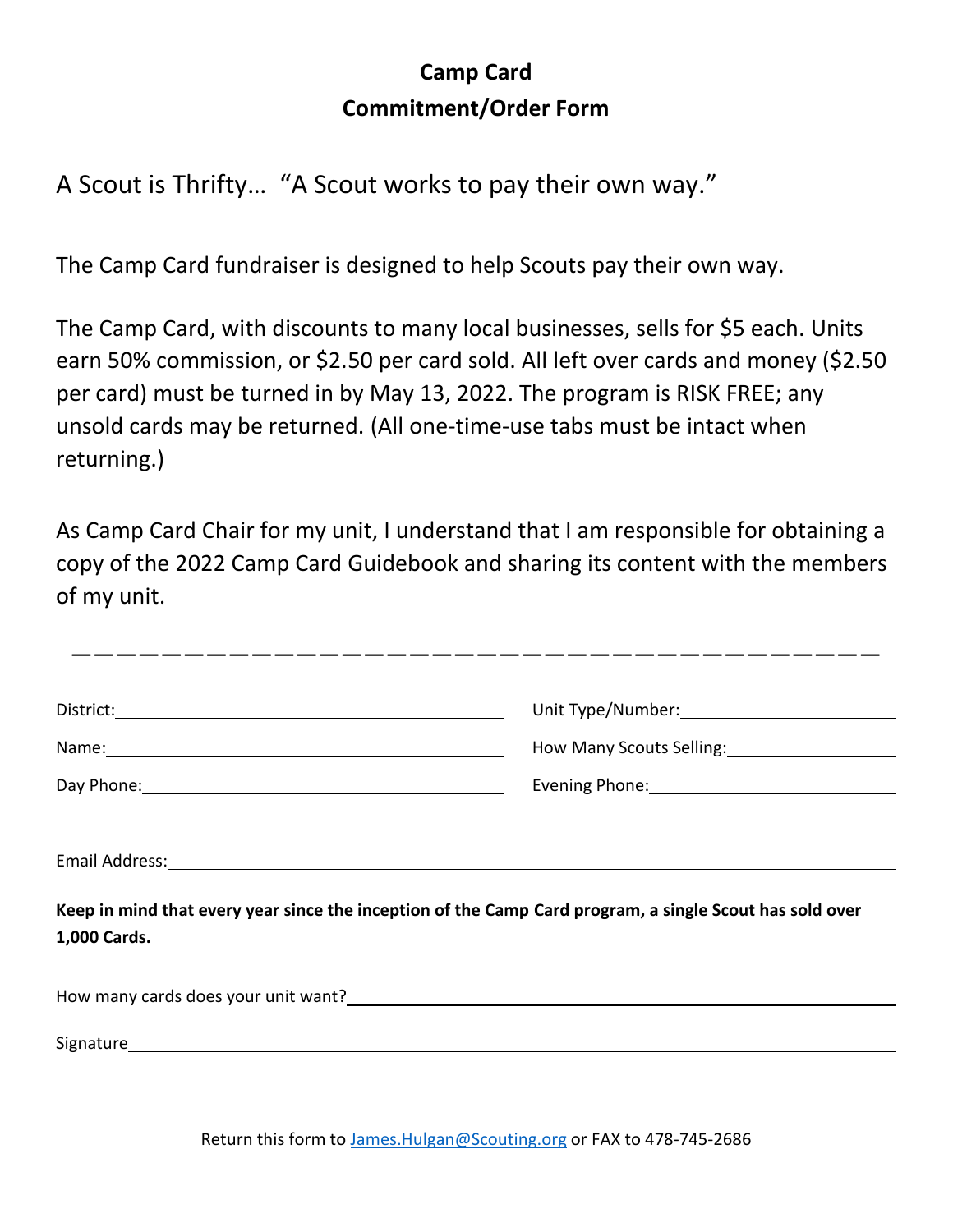### **Camp Card Commitment/Order Form**

A Scout is Thrifty… "A Scout works to pay their own way."

The Camp Card fundraiser is designed to help Scouts pay their own way.

The Camp Card, with discounts to many local businesses, sells for \$5 each. Units earn 50% commission, or \$2.50 per card sold. All left over cards and money (\$2.50 per card) must be turned in by May 13, 2022. The program is RISK FREE; any unsold cards may be returned. (All one-time-use tabs must be intact when returning.)

As Camp Card Chair for my unit, I understand that I am responsible for obtaining a copy of the 2022 Camp Card Guidebook and sharing its content with the members of my unit.

| Name: Name and the second state of the second state of the second state of the second state of the second state of the second state of the second state of the second state of the second state of the second state of the sec | How Many Scouts Selling: 1997 1998                                                                                                                                                                                                     |
|--------------------------------------------------------------------------------------------------------------------------------------------------------------------------------------------------------------------------------|----------------------------------------------------------------------------------------------------------------------------------------------------------------------------------------------------------------------------------------|
|                                                                                                                                                                                                                                |                                                                                                                                                                                                                                        |
|                                                                                                                                                                                                                                |                                                                                                                                                                                                                                        |
| Email Address: 1988 and 2008 and 2008 and 2008 and 2008 and 2008 and 2008 and 2008 and 2008 and 2008 and 2008                                                                                                                  |                                                                                                                                                                                                                                        |
| 1,000 Cards.                                                                                                                                                                                                                   | Keep in mind that every year since the inception of the Camp Card program, a single Scout has sold over                                                                                                                                |
|                                                                                                                                                                                                                                | How many cards does your unit want?<br><u> Letting and a contract contract control of the set of the set of the set of the set of the set of the set of the set of the set of the set of the set of the set of the set of the set </u> |
|                                                                                                                                                                                                                                |                                                                                                                                                                                                                                        |
|                                                                                                                                                                                                                                |                                                                                                                                                                                                                                        |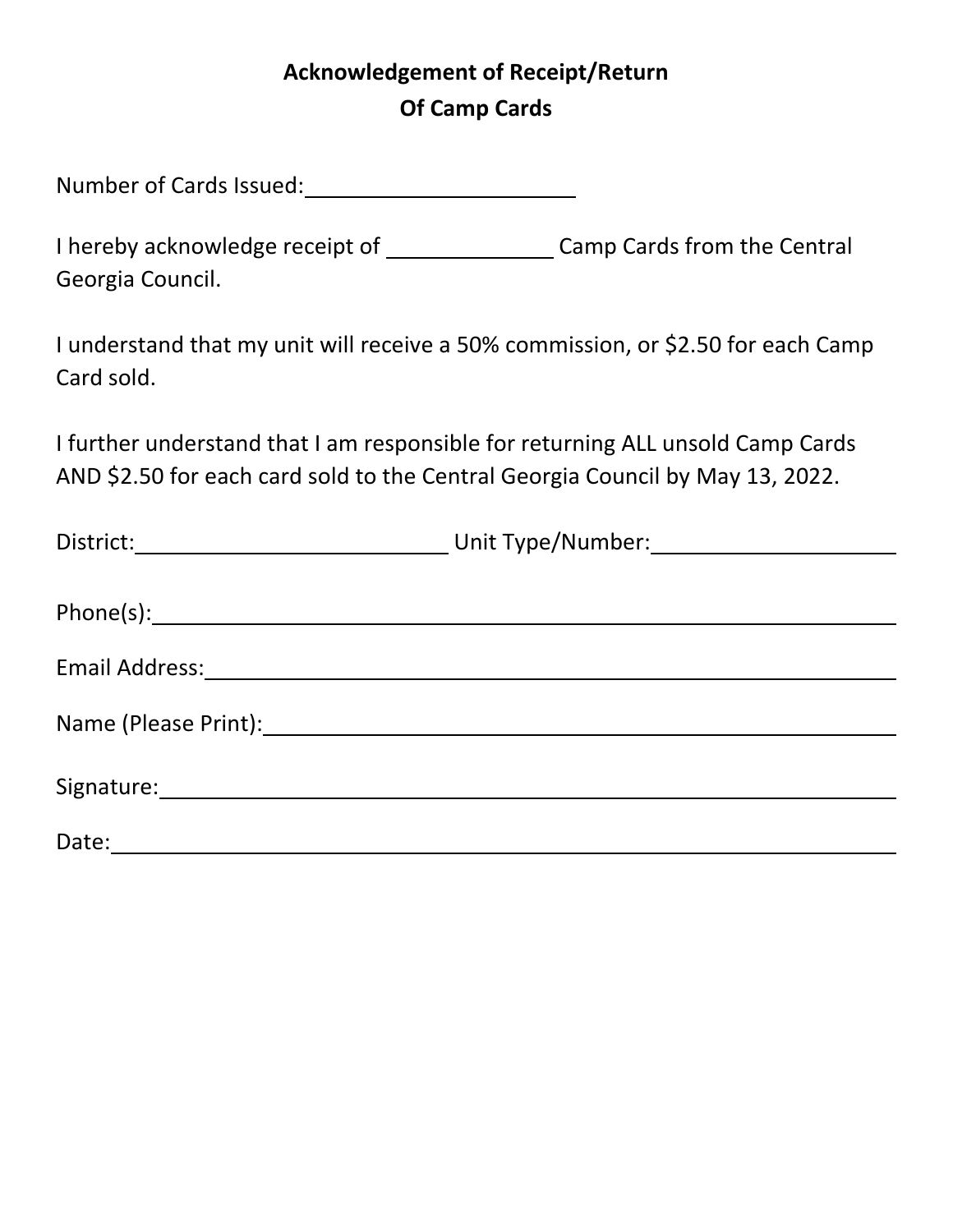## **Acknowledgement of Receipt/Return Of Camp Cards**

Number of Cards Issued: Number of Cards Issued:

I hereby acknowledge receipt of \_\_\_\_\_\_\_\_\_\_\_\_\_\_\_\_\_\_\_\_\_Camp Cards from the Central Georgia Council.

I understand that my unit will receive a 50% commission, or \$2.50 for each Camp Card sold.

I further understand that I am responsible for returning ALL unsold Camp Cards AND \$2.50 for each card sold to the Central Georgia Council by May 13, 2022.

| Name (Please Print): Name (Please Print): Name (Please Print): |  |  |
|----------------------------------------------------------------|--|--|
|                                                                |  |  |
| Signature: Management of the Signature:                        |  |  |
|                                                                |  |  |
| Date:                                                          |  |  |